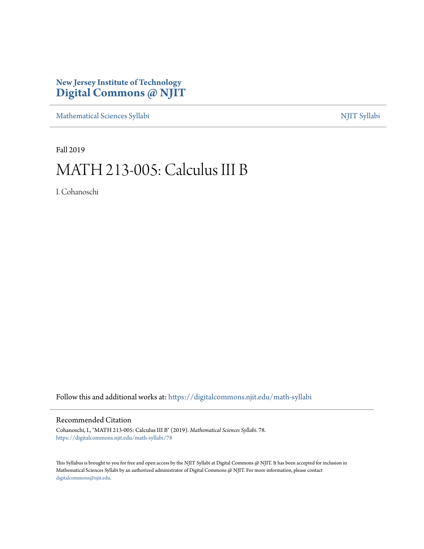# **New Jersey Institute of Technology [Digital Commons @ NJIT](https://digitalcommons.njit.edu/?utm_source=digitalcommons.njit.edu%2Fmath-syllabi%2F78&utm_medium=PDF&utm_campaign=PDFCoverPages)**

[Mathematical Sciences Syllabi](https://digitalcommons.njit.edu/math-syllabi?utm_source=digitalcommons.njit.edu%2Fmath-syllabi%2F78&utm_medium=PDF&utm_campaign=PDFCoverPages) [NJIT Syllabi](https://digitalcommons.njit.edu/syllabi?utm_source=digitalcommons.njit.edu%2Fmath-syllabi%2F78&utm_medium=PDF&utm_campaign=PDFCoverPages)

Fall 2019

# MATH 213-005: Calculus III B

I. Cohanoschi

Follow this and additional works at: [https://digitalcommons.njit.edu/math-syllabi](https://digitalcommons.njit.edu/math-syllabi?utm_source=digitalcommons.njit.edu%2Fmath-syllabi%2F78&utm_medium=PDF&utm_campaign=PDFCoverPages)

#### Recommended Citation

Cohanoschi, I., "MATH 213-005: Calculus III B" (2019). *Mathematical Sciences Syllabi*. 78. [https://digitalcommons.njit.edu/math-syllabi/78](https://digitalcommons.njit.edu/math-syllabi/78?utm_source=digitalcommons.njit.edu%2Fmath-syllabi%2F78&utm_medium=PDF&utm_campaign=PDFCoverPages)

This Syllabus is brought to you for free and open access by the NJIT Syllabi at Digital Commons @ NJIT. It has been accepted for inclusion in Mathematical Sciences Syllabi by an authorized administrator of Digital Commons @ NJIT. For more information, please contact [digitalcommons@njit.edu](mailto:digitalcommons@njit.edu).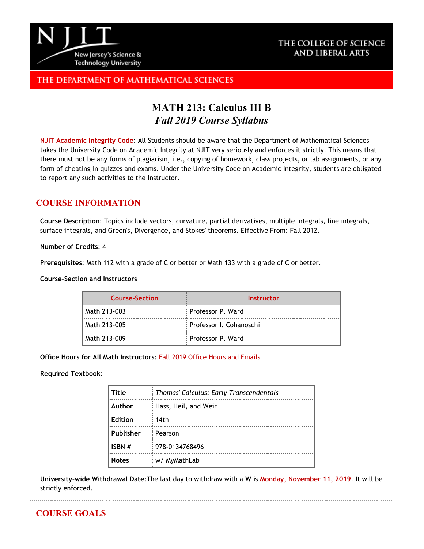

### THE COLLEGE OF SCIENCE AND LIBERAL ARTS

## THE DEPARTMENT OF MATHEMATICAL SCIENCES

# **MATH 213: Calculus III B** *Fall 2019 Course Syllabus*

**[NJIT Academic Integrity Code](http://www.njit.edu/policies/sites/policies/files/academic-integrity-code.pdf)**: All Students should be aware that the Department of Mathematical Sciences takes the University Code on Academic Integrity at NJIT very seriously and enforces it strictly. This means that there must not be any forms of plagiarism, i.e., copying of homework, class projects, or lab assignments, or any form of cheating in quizzes and exams. Under the University Code on Academic Integrity, students are obligated to report any such activities to the Instructor.

### **COURSE INFORMATION**

**Course Description**: Topics include vectors, curvature, partial derivatives, multiple integrals, line integrals, surface integrals, and Green's, Divergence, and Stokes' theorems. Effective From: Fall 2012.

**Number of Credits**: 4

**Prerequisites**: Math 112 with a grade of C or better or Math 133 with a grade of C or better.

**Course-Section and Instructors**

| <b>Course-Section</b> | <b>Instructor</b>         |
|-----------------------|---------------------------|
| Math 213-003          | Professor P. Ward         |
| Math 213-005          | : Professor I. Cohanoschi |
| Math 213-009          | Professor P. Ward         |

**Office Hours for All Math Instructors**: [Fall 2019 Office Hours and Emails](http://math.njit.edu/students/officehours.php)

**Required Textbook**:

| <b>Title</b> | Thomas' Calculus: Early Transcendentals |
|--------------|-----------------------------------------|
| Author       | Hass, Heil, and Weir                    |
| Edition      | 14th                                    |
| Publisher    | Pearson                                 |
| ISBN #       | 978-0134768496                          |
| <b>Notes</b> | w/ MyMathLab                            |

**University-wide Withdrawal Date**:The last day to withdraw with a **W** is **[Monday, November 11, 2019](https://www.njit.edu/registrar/fall-2019-academic-calendar/)**. It will be strictly enforced.

# **COURSE GOALS**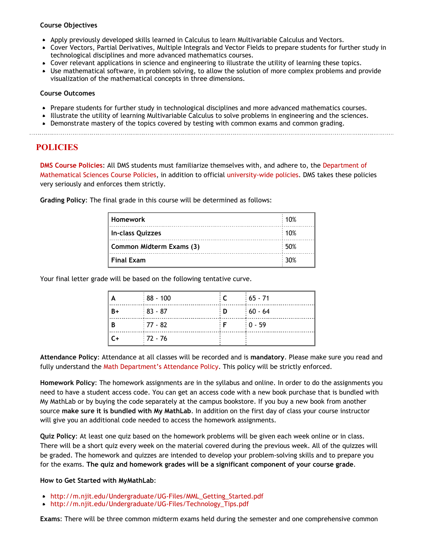#### **Course Objectives**

- Apply previously developed skills learned in Calculus to learn Multivariable Calculus and Vectors.
- Cover Vectors, Partial Derivatives, Multiple Integrals and Vector Fields to prepare students for further study in technological disciplines and more advanced mathematics courses.
- Cover relevant applications in science and engineering to illustrate the utility of learning these topics.
- Use mathematical software, in problem solving, to allow the solution of more complex problems and provide visualization of the mathematical concepts in three dimensions.

#### **Course Outcomes**

- Prepare students for further study in technological disciplines and more advanced mathematics courses.
- Illustrate the utility of learning Multivariable Calculus to solve problems in engineering and the sciences.
- Demonstrate mastery of the topics covered by testing with common exams and common grading.
- 

### **POLICIES**

**[DMS Course Policies](http://math.njit.edu/students/undergraduate/policies_math.php)**: All DMS students must familiarize themselves with, and adhere to, the [Department of](http://math.njit.edu/students/undergraduate/policies_math.php) [Mathematical Sciences Course Policies](http://math.njit.edu/students/undergraduate/policies_math.php), in addition to official [university-wide policies](http://catalog.njit.edu/undergraduate/academic-policies-procedures/). DMS takes these policies very seriously and enforces them strictly.

**Grading Policy**: The final grade in this course will be determined as follows:

| <b>Homework</b>          | 10%               |
|--------------------------|-------------------|
| <b>In-class Quizzes</b>  | $\frac{1}{2}$ 10% |
| Common Midterm Exams (3) | $\frac{1}{2}$ 50% |
| <b>Final Exam</b>        | $\frac{1}{2}$ 30% |

Your final letter grade will be based on the following tentative curve.

| A    | $ 88 - 100 $ | $\epsilon$ | $165 - 71$ |
|------|--------------|------------|------------|
| $B+$ | $183 - 87$   | : D        | $60 - 64$  |
| l B  | $177 - 82$   |            | $10 - 59$  |
| $C+$ | $:72 - 76$   |            |            |

**Attendance Policy**: Attendance at all classes will be recorded and is **mandatory**. Please make sure you read and fully understand the [Math Department's Attendance Policy.](http://math.njit.edu/students/policies_attendance.php) This policy will be strictly enforced.

**Homework Policy**: The homework assignments are in the syllabus and online. In order to do the assignments you need to have a student access code. You can get an access code with a new book purchase that is bundled with My MathLab or by buying the code separately at the campus bookstore. If you buy a new book from another source **make sure it is bundled with My MathLab**. In addition on the first day of class your course instructor will give you an additional code needed to access the homework assignments.

**Quiz Policy**: At least one quiz based on the homework problems will be given each week online or in class. There will be a short quiz every week on the material covered during the previous week. All of the quizzes will be graded. The homework and quizzes are intended to develop your problem-solving skills and to prepare you for the exams. **The quiz and homework grades will be a significant component of your course grade**.

#### **How to Get Started with MyMathLab**:

- [http://m.njit.edu/Undergraduate/UG-Files/MML\\_Getting\\_Started.pdf](http://m.njit.edu/Undergraduate/UG-Files/MML_Getting_Started.pdf)
- [http://m.njit.edu/Undergraduate/UG-Files/Technology\\_Tips.pdf](http://m.njit.edu/Undergraduate/UG-Files/Technology_Tips.pdf)

**Exams**: There will be three common midterm exams held during the semester and one comprehensive common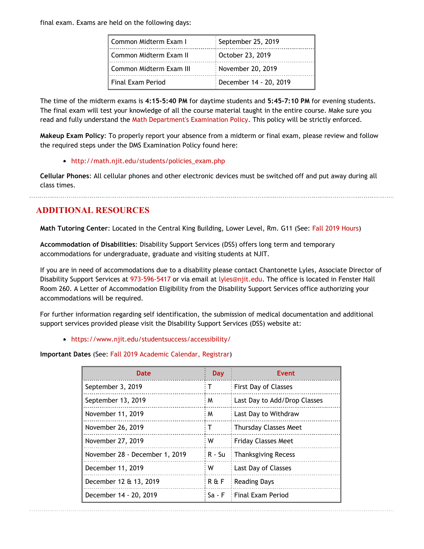final exam. Exams are held on the following days:

| I Common Midterm Exam I   | September 25, 2019     |
|---------------------------|------------------------|
| I Common Midterm Exam II  | October 23, 2019       |
| I Common Midterm Exam III | November 20, 2019      |
| Final Exam Period         | December 14 - 20, 2019 |

The time of the midterm exams is **4:15-5:40 PM** for daytime students and **5:45-7:10 PM** for evening students. The final exam will test your knowledge of all the course material taught in the entire course. Make sure you read and fully understand the [Math Department's Examination Policy](http://math.njit.edu/students/policies_exam.php). This policy will be strictly enforced.

**Makeup Exam Policy**: To properly report your absence from a midterm or final exam, please review and follow the required steps under the DMS Examination Policy found here:

[http://math.njit.edu/students/policies\\_exam.php](http://math.njit.edu/students/policies_exam.php)

**Cellular Phones**: All cellular phones and other electronic devices must be switched off and put away during all class times.

# **ADDITIONAL RESOURCES**

**Math Tutoring Center**: Located in the Central King Building, Lower Level, Rm. G11 (See[: Fall 2019 Hours](http://math.njit.edu/students/undergraduate/tutoring_help.php))

**Accommodation of Disabilities**: Disability Support Services (DSS) offers long term and temporary accommodations for undergraduate, graduate and visiting students at NJIT.

If you are in need of accommodations due to a disability please contact Chantonette Lyles, Associate Director of Disability Support Services at [973-596-5417](tel:973-596-5417) or via email at [lyles@njit.edu](mailto:lyles@njit.edu). The office is located in Fenster Hall Room 260. A Letter of Accommodation Eligibility from the Disability Support Services office authorizing your accommodations will be required.

For further information regarding self identification, the submission of medical documentation and additional support services provided please visit the Disability Support Services (DSS) website at:

[https://www.njit.edu/studentsuccess/accessibility/](http://www5.njit.edu/studentsuccess/disability-support-services/)

#### **Important Dates** (See: [Fall 2019 Academic Calendar, Registrar](https://www.njit.edu/registrar/fall-2019-academic-calendar/))

| <b>Date</b>                    | <b>Day</b> | Event                        |
|--------------------------------|------------|------------------------------|
| September 3, 2019              | т          | First Day of Classes         |
| September 13, 2019             | M          | Last Day to Add/Drop Classes |
| November 11, 2019              | M          | Last Day to Withdraw         |
| November 26, 2019              | т          | <b>Thursday Classes Meet</b> |
| November 27, 2019              | W          | <b>Friday Classes Meet</b>   |
| November 28 - December 1, 2019 | R - Su     | <b>Thanksgiving Recess</b>   |
| December 11, 2019              | W          | Last Day of Classes          |
| December 12 & 13, 2019         | iR & F     | <b>Reading Days</b>          |
| December 14 - 20, 2019         | Sa - F     | Final Exam Period            |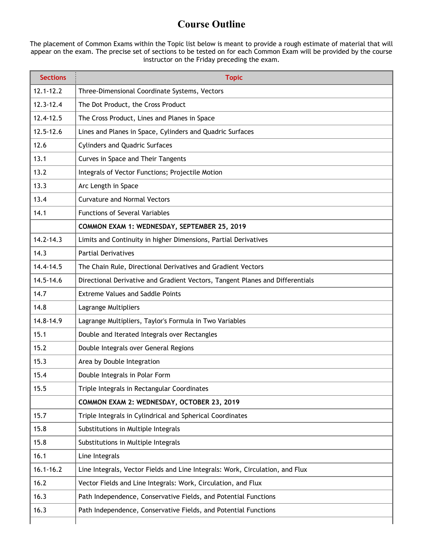# **Course Outline**

The placement of Common Exams within the Topic list below is meant to provide a rough estimate of material that will appear on the exam. The precise set of sections to be tested on for each Common Exam will be provided by the course instructor on the Friday preceding the exam.

| <b>Sections</b> | <b>Topic</b>                                                                  |
|-----------------|-------------------------------------------------------------------------------|
| $12.1 - 12.2$   | Three-Dimensional Coordinate Systems, Vectors                                 |
| $12.3 - 12.4$   | The Dot Product, the Cross Product                                            |
| 12.4-12.5       | The Cross Product, Lines and Planes in Space                                  |
| $12.5 - 12.6$   | Lines and Planes in Space, Cylinders and Quadric Surfaces                     |
| 12.6            | <b>Cylinders and Quadric Surfaces</b>                                         |
| 13.1            | Curves in Space and Their Tangents                                            |
| 13.2            | Integrals of Vector Functions; Projectile Motion                              |
| 13.3            | Arc Length in Space                                                           |
| 13.4            | <b>Curvature and Normal Vectors</b>                                           |
| 14.1            | <b>Functions of Several Variables</b>                                         |
|                 | COMMON EXAM 1: WEDNESDAY, SEPTEMBER 25, 2019                                  |
| $14.2 - 14.3$   | Limits and Continuity in higher Dimensions, Partial Derivatives               |
| 14.3            | <b>Partial Derivatives</b>                                                    |
| 14.4-14.5       | The Chain Rule, Directional Derivatives and Gradient Vectors                  |
| 14.5-14.6       | Directional Derivative and Gradient Vectors, Tangent Planes and Differentials |
| 14.7            | <b>Extreme Values and Saddle Points</b>                                       |
| 14.8            | Lagrange Multipliers                                                          |
| 14.8-14.9       | Lagrange Multipliers, Taylor's Formula in Two Variables                       |
| 15.1            | Double and Iterated Integrals over Rectangles                                 |
| 15.2            | Double Integrals over General Regions                                         |
| 15.3            | Area by Double Integration                                                    |
| 15.4            | Double Integrals in Polar Form                                                |
| 15.5            | Triple Integrals in Rectangular Coordinates                                   |
|                 | COMMON EXAM 2: WEDNESDAY, OCTOBER 23, 2019                                    |
| 15.7            | Triple Integrals in Cylindrical and Spherical Coordinates                     |
| 15.8            | Substitutions in Multiple Integrals                                           |
| 15.8            | Substitutions in Multiple Integrals                                           |
| 16.1            | Line Integrals                                                                |
| $16.1 - 16.2$   | Line Integrals, Vector Fields and Line Integrals: Work, Circulation, and Flux |
| 16.2            | Vector Fields and Line Integrals: Work, Circulation, and Flux                 |
| 16.3            | Path Independence, Conservative Fields, and Potential Functions               |
| 16.3            | Path Independence, Conservative Fields, and Potential Functions               |
|                 |                                                                               |